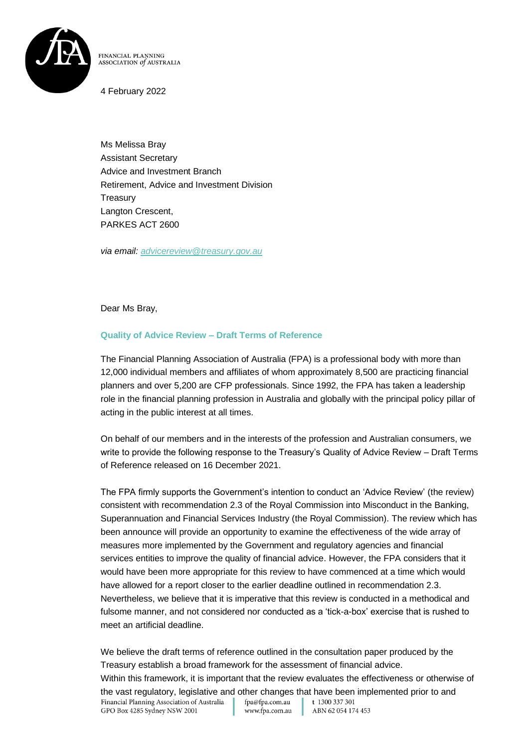

FINANCIAL PLANNING ASSOCIATION of AUSTRALIA

4 February 2022

Ms Melissa Bray Assistant Secretary Advice and Investment Branch Retirement, Advice and Investment Division **Treasurv** Langton Crescent, PARKES ACT 2600

*via email: advicereview@treasury.gov.au*

Dear Ms Bray,

## **Quality of Advice Review – Draft Terms of Reference**

The Financial Planning Association of Australia (FPA) is a professional body with more than 12,000 individual members and affiliates of whom approximately 8,500 are practicing financial planners and over 5,200 are CFP professionals. Since 1992, the FPA has taken a leadership role in the financial planning profession in Australia and globally with the principal policy pillar of acting in the public interest at all times.

On behalf of our members and in the interests of the profession and Australian consumers, we write to provide the following response to the Treasury's Quality of Advice Review – Draft Terms of Reference released on 16 December 2021.

The FPA firmly supports the Government's intention to conduct an 'Advice Review' (the review) consistent with recommendation 2.3 of the Royal Commission into Misconduct in the Banking, Superannuation and Financial Services Industry (the Royal Commission). The review which has been announce will provide an opportunity to examine the effectiveness of the wide array of measures more implemented by the Government and regulatory agencies and financial services entities to improve the quality of financial advice. However, the FPA considers that it would have been more appropriate for this review to have commenced at a time which would have allowed for a report closer to the earlier deadline outlined in recommendation 2.3. Nevertheless, we believe that it is imperative that this review is conducted in a methodical and fulsome manner, and not considered nor conducted as a 'tick-a-box' exercise that is rushed to meet an artificial deadline.

We believe the draft terms of reference outlined in the consultation paper produced by the Treasury establish a broad framework for the assessment of financial advice.

Within this framework, it is important that the review evaluates the effectiveness or otherwise of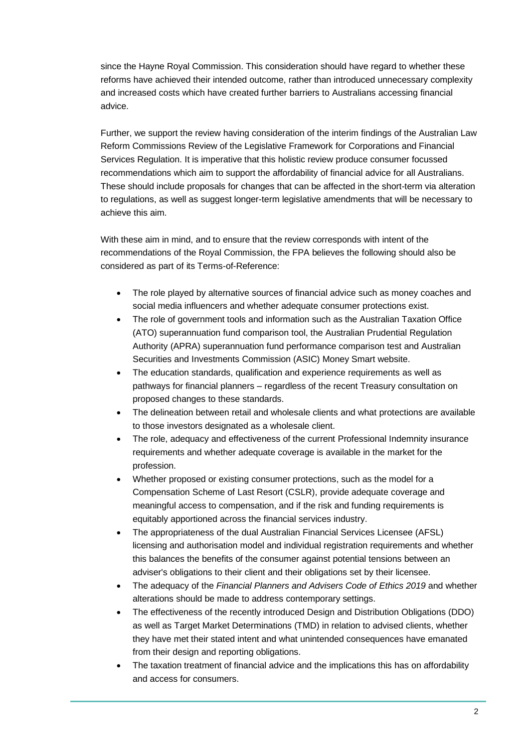since the Hayne Royal Commission. This consideration should have regard to whether these reforms have achieved their intended outcome, rather than introduced unnecessary complexity and increased costs which have created further barriers to Australians accessing financial advice.

Further, we support the review having consideration of the interim findings of the Australian Law Reform Commissions Review of the Legislative Framework for Corporations and Financial Services Regulation. It is imperative that this holistic review produce consumer focussed recommendations which aim to support the affordability of financial advice for all Australians. These should include proposals for changes that can be affected in the short-term via alteration to regulations, as well as suggest longer-term legislative amendments that will be necessary to achieve this aim.

With these aim in mind, and to ensure that the review corresponds with intent of the recommendations of the Royal Commission, the FPA believes the following should also be considered as part of its Terms-of-Reference:

- The role played by alternative sources of financial advice such as money coaches and social media influencers and whether adequate consumer protections exist.
- The role of government tools and information such as the Australian Taxation Office (ATO) superannuation fund comparison tool, the Australian Prudential Regulation Authority (APRA) superannuation fund performance comparison test and Australian Securities and Investments Commission (ASIC) Money Smart website.
- The education standards, qualification and experience requirements as well as pathways for financial planners – regardless of the recent Treasury consultation on proposed changes to these standards.
- The delineation between retail and wholesale clients and what protections are available to those investors designated as a wholesale client.
- The role, adequacy and effectiveness of the current Professional Indemnity insurance requirements and whether adequate coverage is available in the market for the profession.
- Whether proposed or existing consumer protections, such as the model for a Compensation Scheme of Last Resort (CSLR), provide adequate coverage and meaningful access to compensation, and if the risk and funding requirements is equitably apportioned across the financial services industry.
- The appropriateness of the dual Australian Financial Services Licensee (AFSL) licensing and authorisation model and individual registration requirements and whether this balances the benefits of the consumer against potential tensions between an adviser's obligations to their client and their obligations set by their licensee.
- The adequacy of the *Financial Planners and Advisers Code of Ethics 2019* and whether alterations should be made to address contemporary settings.
- The effectiveness of the recently introduced Design and Distribution Obligations (DDO) as well as Target Market Determinations (TMD) in relation to advised clients, whether they have met their stated intent and what unintended consequences have emanated from their design and reporting obligations.
- The taxation treatment of financial advice and the implications this has on affordability and access for consumers.